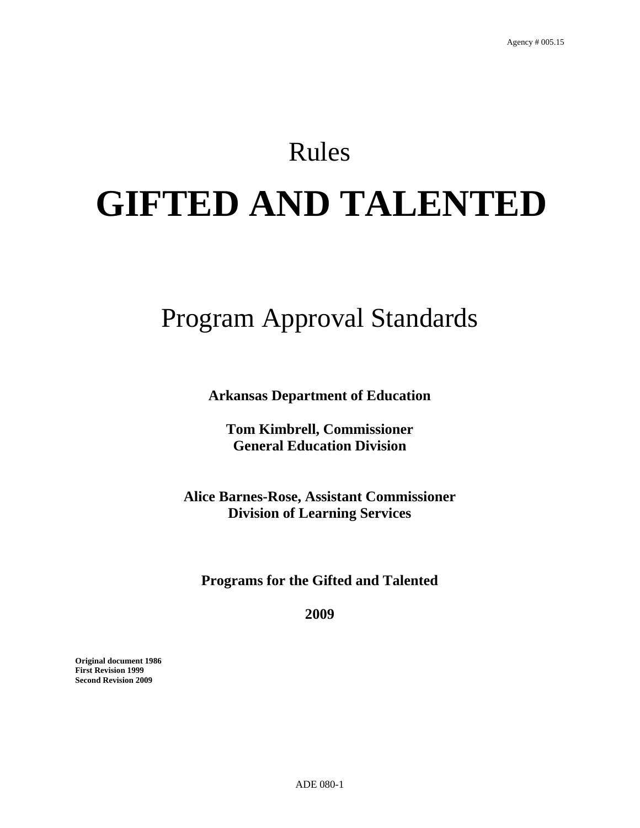# Rules **GIFTED AND TALENTED**

# Program Approval Standards

**Arkansas Department of Education** 

**Tom Kimbrell, Commissioner General Education Division** 

**Alice Barnes-Rose, Assistant Commissioner Division of Learning Services** 

**Programs for the Gifted and Talented** 

**2009** 

**Original document 1986 First Revision 1999 Second Revision 2009**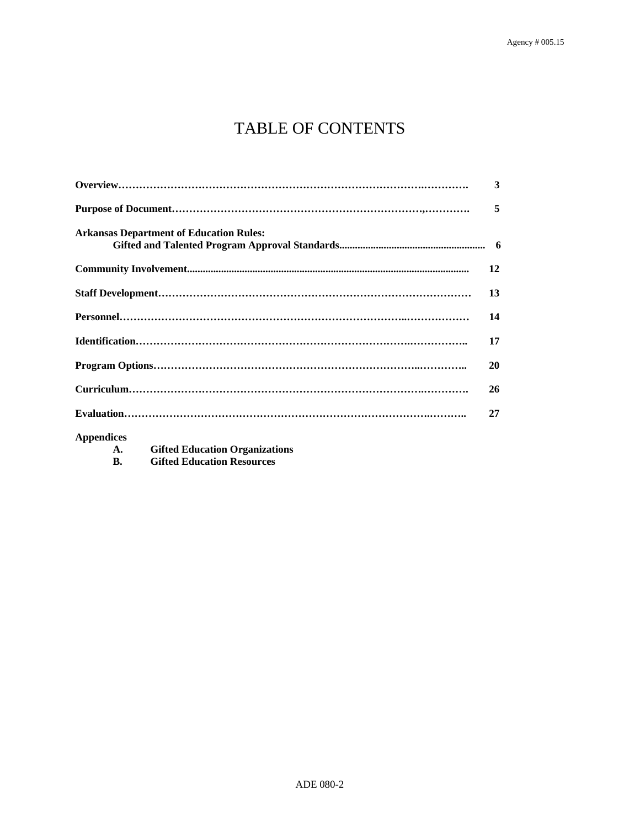# TABLE OF CONTENTS

|                                                | 3  |
|------------------------------------------------|----|
|                                                | 5  |
| <b>Arkansas Department of Education Rules:</b> |    |
|                                                | 12 |
|                                                | 13 |
|                                                | 14 |
|                                                | 17 |
|                                                | 20 |
|                                                | 26 |
|                                                | 27 |
|                                                |    |

**Appendices** 

- **A. Gifted Education Organizations**
- **B. Gifted Education Resources**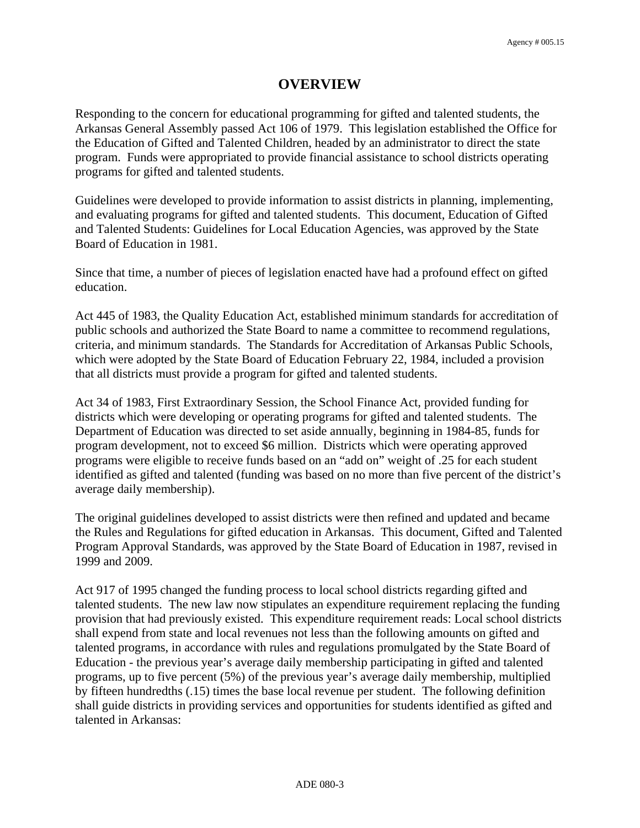### **OVERVIEW**

Responding to the concern for educational programming for gifted and talented students, the Arkansas General Assembly passed Act 106 of 1979. This legislation established the Office for the Education of Gifted and Talented Children, headed by an administrator to direct the state program. Funds were appropriated to provide financial assistance to school districts operating programs for gifted and talented students.

Guidelines were developed to provide information to assist districts in planning, implementing, and evaluating programs for gifted and talented students. This document, Education of Gifted and Talented Students: Guidelines for Local Education Agencies, was approved by the State Board of Education in 1981.

Since that time, a number of pieces of legislation enacted have had a profound effect on gifted education.

Act 445 of 1983, the Quality Education Act, established minimum standards for accreditation of public schools and authorized the State Board to name a committee to recommend regulations, criteria, and minimum standards. The Standards for Accreditation of Arkansas Public Schools, which were adopted by the State Board of Education February 22, 1984, included a provision that all districts must provide a program for gifted and talented students.

Act 34 of 1983, First Extraordinary Session, the School Finance Act, provided funding for districts which were developing or operating programs for gifted and talented students. The Department of Education was directed to set aside annually, beginning in 1984-85, funds for program development, not to exceed \$6 million. Districts which were operating approved programs were eligible to receive funds based on an "add on" weight of .25 for each student identified as gifted and talented (funding was based on no more than five percent of the district's average daily membership).

The original guidelines developed to assist districts were then refined and updated and became the Rules and Regulations for gifted education in Arkansas. This document, Gifted and Talented Program Approval Standards, was approved by the State Board of Education in 1987, revised in 1999 and 2009.

Act 917 of 1995 changed the funding process to local school districts regarding gifted and talented students. The new law now stipulates an expenditure requirement replacing the funding provision that had previously existed. This expenditure requirement reads: Local school districts shall expend from state and local revenues not less than the following amounts on gifted and talented programs, in accordance with rules and regulations promulgated by the State Board of Education - the previous year's average daily membership participating in gifted and talented programs, up to five percent (5%) of the previous year's average daily membership, multiplied by fifteen hundredths (.15) times the base local revenue per student. The following definition shall guide districts in providing services and opportunities for students identified as gifted and talented in Arkansas: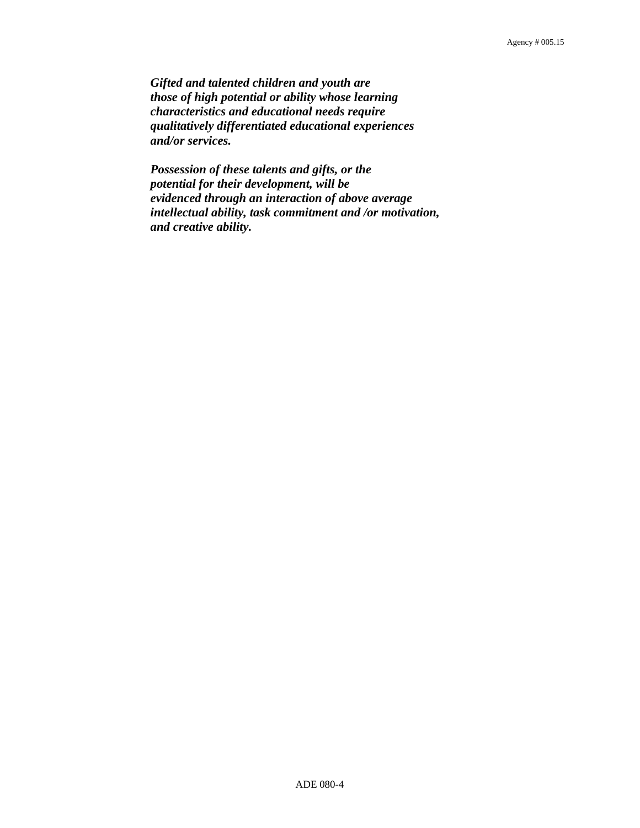*Gifted and talented children and youth are those of high potential or ability whose learning characteristics and educational needs require qualitatively differentiated educational experiences and/or services.* 

 *Possession of these talents and gifts, or the potential for their development, will be evidenced through an interaction of above average intellectual ability, task commitment and /or motivation, and creative ability.*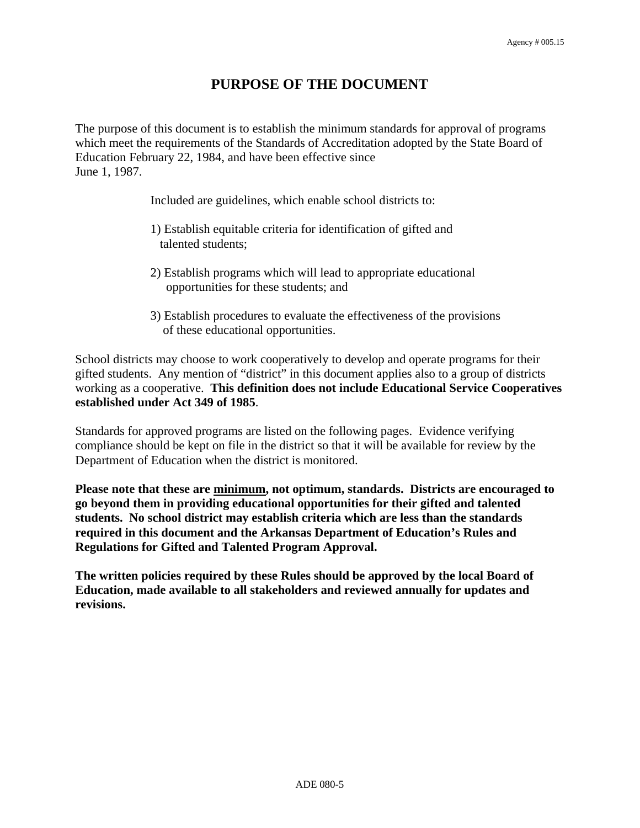### **PURPOSE OF THE DOCUMENT**

The purpose of this document is to establish the minimum standards for approval of programs which meet the requirements of the Standards of Accreditation adopted by the State Board of Education February 22, 1984, and have been effective since June 1, 1987.

Included are guidelines, which enable school districts to:

- 1) Establish equitable criteria for identification of gifted and talented students;
- 2) Establish programs which will lead to appropriate educational opportunities for these students; and
- 3) Establish procedures to evaluate the effectiveness of the provisions of these educational opportunities.

School districts may choose to work cooperatively to develop and operate programs for their gifted students. Any mention of "district" in this document applies also to a group of districts working as a cooperative. **This definition does not include Educational Service Cooperatives established under Act 349 of 1985**.

Standards for approved programs are listed on the following pages. Evidence verifying compliance should be kept on file in the district so that it will be available for review by the Department of Education when the district is monitored.

**Please note that these are minimum, not optimum, standards. Districts are encouraged to go beyond them in providing educational opportunities for their gifted and talented students. No school district may establish criteria which are less than the standards required in this document and the Arkansas Department of Education's Rules and Regulations for Gifted and Talented Program Approval.** 

**The written policies required by these Rules should be approved by the local Board of Education, made available to all stakeholders and reviewed annually for updates and revisions.**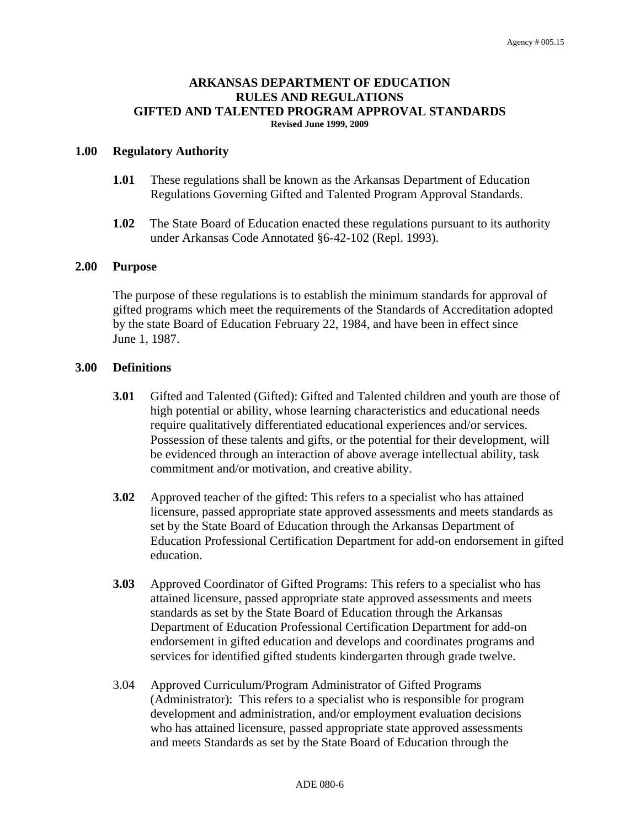#### **ARKANSAS DEPARTMENT OF EDUCATION RULES AND REGULATIONS GIFTED AND TALENTED PROGRAM APPROVAL STANDARDS Revised June 1999, 2009**

#### **1.00 Regulatory Authority**

- **1.01** These regulations shall be known as the Arkansas Department of Education Regulations Governing Gifted and Talented Program Approval Standards.
- **1.02** The State Board of Education enacted these regulations pursuant to its authority under Arkansas Code Annotated §6-42-102 (Repl. 1993).

#### **2.00 Purpose**

 The purpose of these regulations is to establish the minimum standards for approval of gifted programs which meet the requirements of the Standards of Accreditation adopted by the state Board of Education February 22, 1984, and have been in effect since June 1, 1987.

#### **3.00 Definitions**

- **3.01** Gifted and Talented (Gifted): Gifted and Talented children and youth are those of high potential or ability, whose learning characteristics and educational needs require qualitatively differentiated educational experiences and/or services. Possession of these talents and gifts, or the potential for their development, will be evidenced through an interaction of above average intellectual ability, task commitment and/or motivation, and creative ability.
- **3.02** Approved teacher of the gifted: This refers to a specialist who has attained licensure, passed appropriate state approved assessments and meets standards as set by the State Board of Education through the Arkansas Department of Education Professional Certification Department for add-on endorsement in gifted education.
- **3.03** Approved Coordinator of Gifted Programs: This refers to a specialist who has attained licensure, passed appropriate state approved assessments and meets standards as set by the State Board of Education through the Arkansas Department of Education Professional Certification Department for add-on endorsement in gifted education and develops and coordinates programs and services for identified gifted students kindergarten through grade twelve.
- 3.04 Approved Curriculum/Program Administrator of Gifted Programs (Administrator): This refers to a specialist who is responsible for program development and administration, and/or employment evaluation decisions who has attained licensure, passed appropriate state approved assessments and meets Standards as set by the State Board of Education through the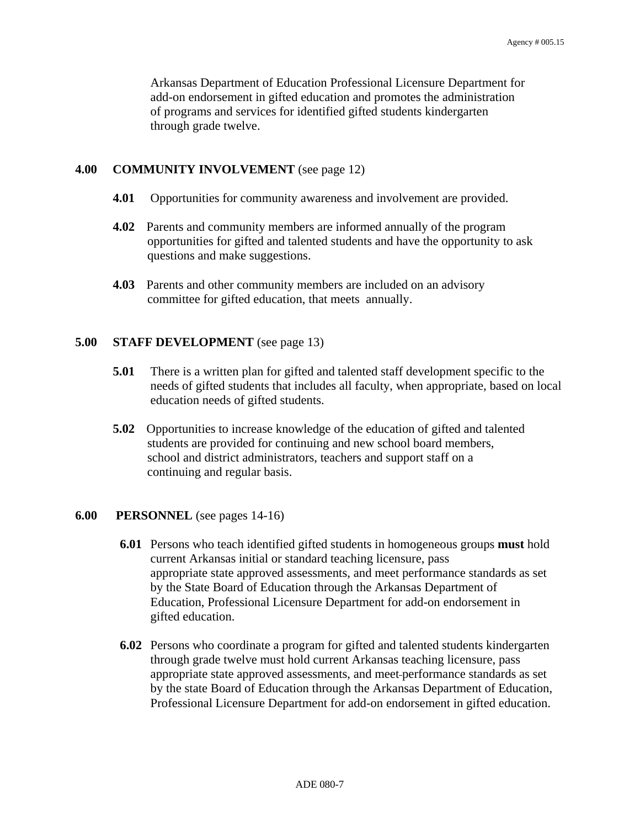Arkansas Department of Education Professional Licensure Department for add-on endorsement in gifted education and promotes the administration of programs and services for identified gifted students kindergarten through grade twelve.

#### **4.00 COMMUNITY INVOLVEMENT** (see page 12)

- **4.01** Opportunities for community awareness and involvement are provided.
- **4.02** Parents and community members are informed annually of the program opportunities for gifted and talented students and have the opportunity to ask questions and make suggestions.
- **4.03** Parents and other community members are included on an advisory committee for gifted education, that meets annually.

#### **5.00 STAFF DEVELOPMENT** (see page 13)

- **5.01** There is a written plan for gifted and talented staff development specific to the needs of gifted students that includes all faculty, when appropriate, based on local education needs of gifted students.
- **5.02** Opportunities to increase knowledge of the education of gifted and talented students are provided for continuing and new school board members, school and district administrators, teachers and support staff on a continuing and regular basis.

#### **6.00 PERSONNEL** (see pages 14-16)

- **6.01** Persons who teach identified gifted students in homogeneous groups **must** hold current Arkansas initial or standard teaching licensure, pass appropriate state approved assessments, and meet performance standards as set by the State Board of Education through the Arkansas Department of Education, Professional Licensure Department for add-on endorsement in gifted education.
- **6.02** Persons who coordinate a program for gifted and talented students kindergarten through grade twelve must hold current Arkansas teaching licensure, pass appropriate state approved assessments, and meet performance standards as set by the state Board of Education through the Arkansas Department of Education, Professional Licensure Department for add-on endorsement in gifted education.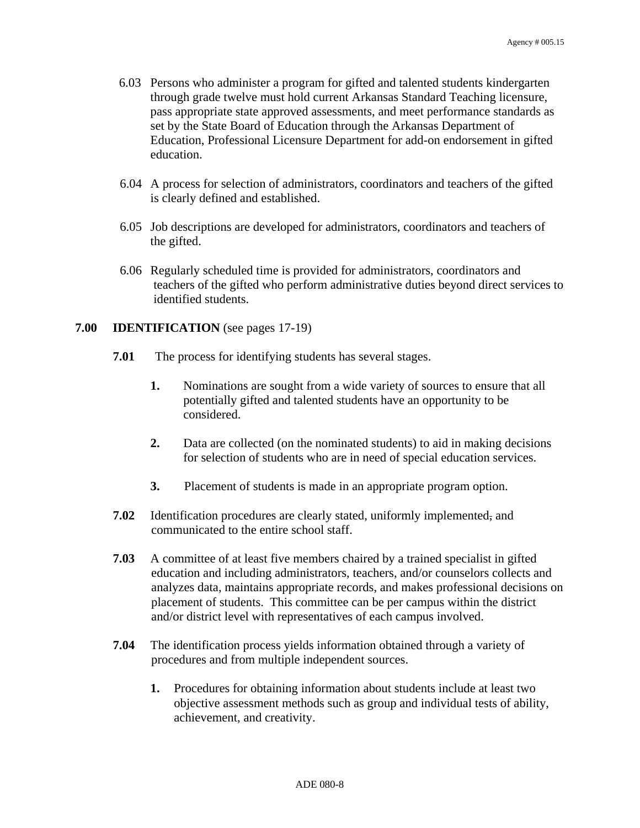- 6.03 Persons who administer a program for gifted and talented students kindergarten through grade twelve must hold current Arkansas Standard Teaching licensure, pass appropriate state approved assessments, and meet performance standards as set by the State Board of Education through the Arkansas Department of Education, Professional Licensure Department for add-on endorsement in gifted education.
- 6.04 A process for selection of administrators, coordinators and teachers of the gifted is clearly defined and established.
- 6.05 Job descriptions are developed for administrators, coordinators and teachers of the gifted.
- 6.06 Regularly scheduled time is provided for administrators, coordinators and teachers of the gifted who perform administrative duties beyond direct services to identified students.

#### **7.00 IDENTIFICATION** (see pages 17-19)

- **7.01** The process for identifying students has several stages.
	- **1.** Nominations are sought from a wide variety of sources to ensure that all potentially gifted and talented students have an opportunity to be considered.
	- **2.** Data are collected (on the nominated students) to aid in making decisions for selection of students who are in need of special education services.
	- **3.** Placement of students is made in an appropriate program option.
- **7.02** Identification procedures are clearly stated, uniformly implemented, and communicated to the entire school staff.
- **7.03** A committee of at least five members chaired by a trained specialist in gifted education and including administrators, teachers, and/or counselors collects and analyzes data, maintains appropriate records, and makes professional decisions on placement of students. This committee can be per campus within the district and/or district level with representatives of each campus involved.
- **7.04** The identification process yields information obtained through a variety of procedures and from multiple independent sources.
	- **1.** Procedures for obtaining information about students include at least two objective assessment methods such as group and individual tests of ability, achievement, and creativity.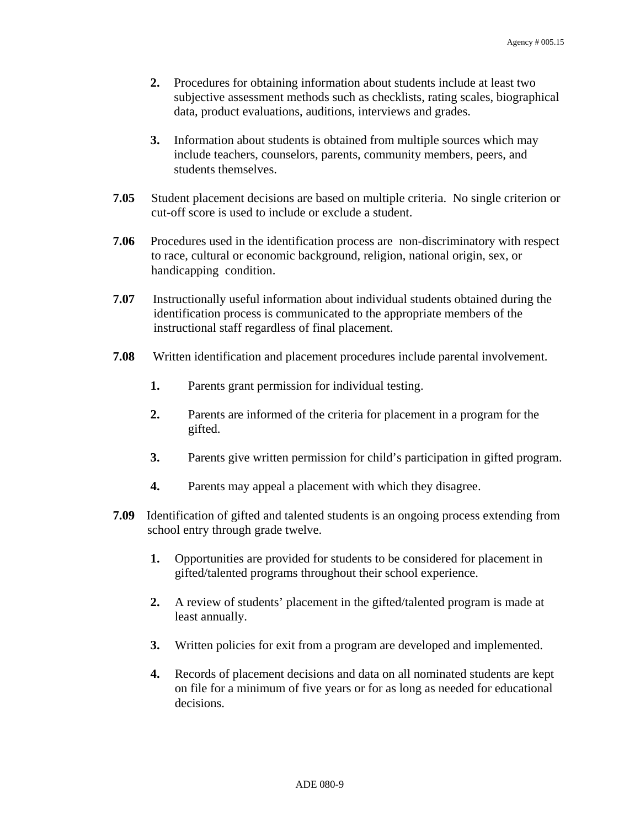- **2.** Procedures for obtaining information about students include at least two subjective assessment methods such as checklists, rating scales, biographical data, product evaluations, auditions, interviews and grades.
- **3.** Information about students is obtained from multiple sources which may include teachers, counselors, parents, community members, peers, and students themselves.
- **7.05** Student placement decisions are based on multiple criteria. No single criterion or cut-off score is used to include or exclude a student.
- **7.06** Procedures used in the identification process are non-discriminatory with respect to race, cultural or economic background, religion, national origin, sex, or handicapping condition.
- **7.07** Instructionally useful information about individual students obtained during the identification process is communicated to the appropriate members of the instructional staff regardless of final placement.
- **7.08** Written identification and placement procedures include parental involvement.
	- **1.** Parents grant permission for individual testing.
	- **2.** Parents are informed of the criteria for placement in a program for the gifted.
	- **3.** Parents give written permission for child's participation in gifted program.
	- **4.** Parents may appeal a placement with which they disagree.
- **7.09** Identification of gifted and talented students is an ongoing process extending from school entry through grade twelve.
	- **1.** Opportunities are provided for students to be considered for placement in gifted/talented programs throughout their school experience.
	- **2.** A review of students' placement in the gifted/talented program is made at least annually.
	- **3.** Written policies for exit from a program are developed and implemented.
	- **4.** Records of placement decisions and data on all nominated students are kept on file for a minimum of five years or for as long as needed for educational decisions.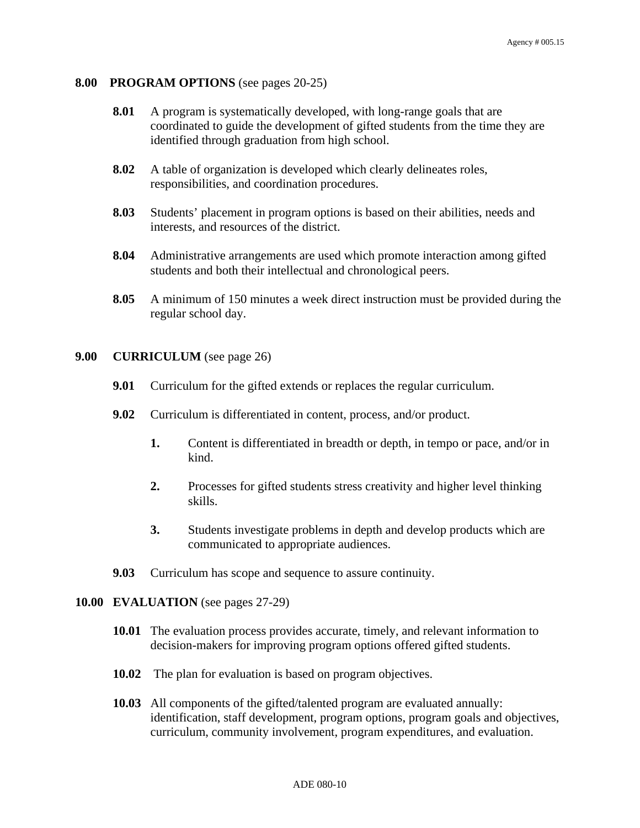#### **8.00 PROGRAM OPTIONS** (see pages 20-25)

- **8.01** A program is systematically developed, with long-range goals that are coordinated to guide the development of gifted students from the time they are identified through graduation from high school.
- **8.02** A table of organization is developed which clearly delineates roles, responsibilities, and coordination procedures.
- **8.03** Students' placement in program options is based on their abilities, needs and interests, and resources of the district.
- **8.04** Administrative arrangements are used which promote interaction among gifted students and both their intellectual and chronological peers.
- **8.05** A minimum of 150 minutes a week direct instruction must be provided during the regular school day.

#### **9.00 CURRICULUM** (see page 26)

- **9.01** Curriculum for the gifted extends or replaces the regular curriculum.
- **9.02** Curriculum is differentiated in content, process, and/or product.
	- **1.** Content is differentiated in breadth or depth, in tempo or pace, and/or in kind.
	- **2.** Processes for gifted students stress creativity and higher level thinking skills.
	- **3.** Students investigate problems in depth and develop products which are communicated to appropriate audiences.
- **9.03** Curriculum has scope and sequence to assure continuity.

#### **10.00 EVALUATION** (see pages 27-29)

- **10.01** The evaluation process provides accurate, timely, and relevant information to decision-makers for improving program options offered gifted students.
- **10.02** The plan for evaluation is based on program objectives.
- **10.03** All components of the gifted/talented program are evaluated annually: identification, staff development, program options, program goals and objectives, curriculum, community involvement, program expenditures, and evaluation.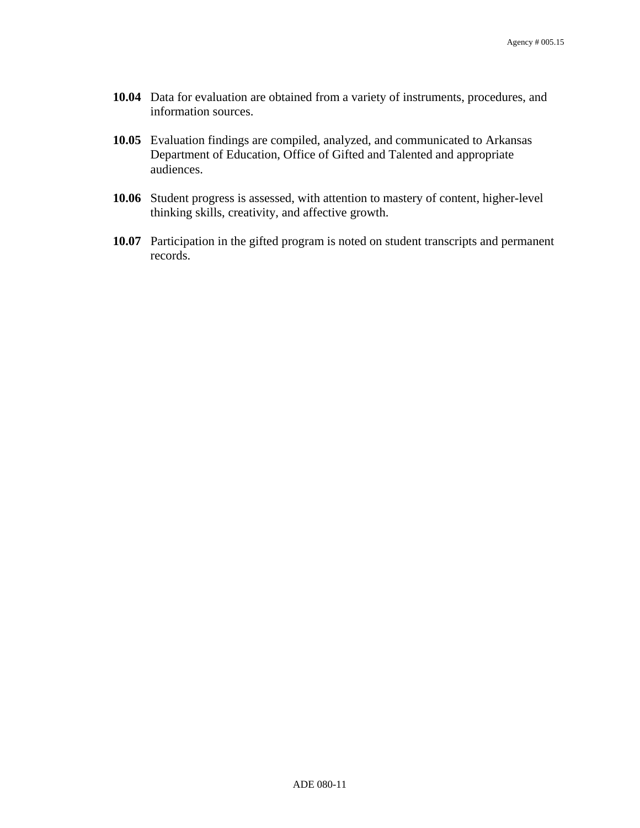- **10.04** Data for evaluation are obtained from a variety of instruments, procedures, and information sources.
- **10.05** Evaluation findings are compiled, analyzed, and communicated to Arkansas Department of Education, Office of Gifted and Talented and appropriate audiences.
- **10.06** Student progress is assessed, with attention to mastery of content, higher-level thinking skills, creativity, and affective growth.
- **10.07** Participation in the gifted program is noted on student transcripts and permanent records.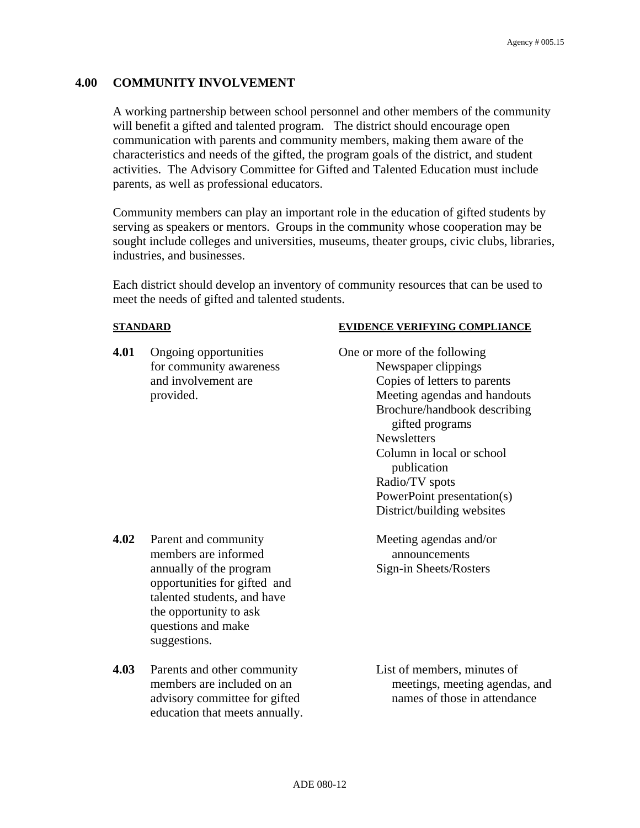#### **4.00 COMMUNITY INVOLVEMENT**

A working partnership between school personnel and other members of the community will benefit a gifted and talented program. The district should encourage open communication with parents and community members, making them aware of the characteristics and needs of the gifted, the program goals of the district, and student activities. The Advisory Committee for Gifted and Talented Education must include parents, as well as professional educators.

Community members can play an important role in the education of gifted students by serving as speakers or mentors. Groups in the community whose cooperation may be sought include colleges and universities, museums, theater groups, civic clubs, libraries, industries, and businesses.

Each district should develop an inventory of community resources that can be used to meet the needs of gifted and talented students.

**4.01** Ongoing opportunities One or more of the following

#### **STANDARD EVIDENCE VERIFYING COMPLIANCE**

for community awareness Newspaper clippings and involvement are Copies of letters to parents provided. Meeting agendas and handouts Brochure/handbook describing gifted programs **Newsletters** Column in local or school publication Radio/TV spots PowerPoint presentation(s) District/building websites

- **4.02** Parent and community Meeting agendas and/or members are informed announcements annually of the program Sign-in Sheets/Rosters opportunities for gifted and talented students, and have the opportunity to ask questions and make suggestions.
- **4.03** Parents and other community List of members, minutes of education that meets annually.

members are included on an meetings, meeting agendas, and advisory committee for gifted names of those in attendance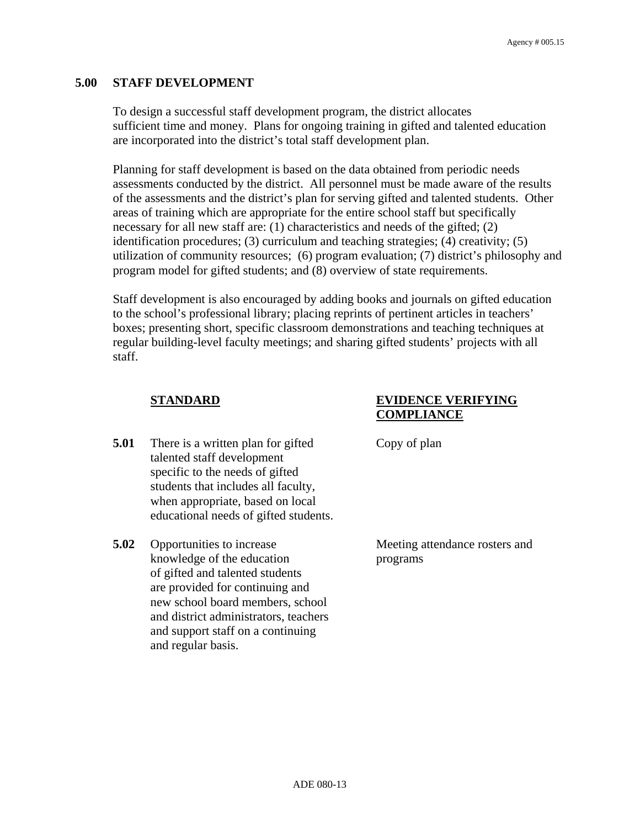#### **5.00 STAFF DEVELOPMENT**

To design a successful staff development program, the district allocates sufficient time and money. Plans for ongoing training in gifted and talented education are incorporated into the district's total staff development plan.

Planning for staff development is based on the data obtained from periodic needs assessments conducted by the district. All personnel must be made aware of the results of the assessments and the district's plan for serving gifted and talented students. Other areas of training which are appropriate for the entire school staff but specifically necessary for all new staff are: (1) characteristics and needs of the gifted; (2) identification procedures; (3) curriculum and teaching strategies; (4) creativity; (5) utilization of community resources; (6) program evaluation; (7) district's philosophy and program model for gifted students; and (8) overview of state requirements.

Staff development is also encouraged by adding books and journals on gifted education to the school's professional library; placing reprints of pertinent articles in teachers' boxes; presenting short, specific classroom demonstrations and teaching techniques at regular building-level faculty meetings; and sharing gifted students' projects with all staff.

- **5.01** There is a written plan for gifted Copy of plan talented staff development specific to the needs of gifted students that includes all faculty, when appropriate, based on local educational needs of gifted students.
- **5.02** Opportunities to increase Meeting attendance rosters and knowledge of the education programs of gifted and talented students are provided for continuing and new school board members, school and district administrators, teachers and support staff on a continuing and regular basis.

#### **STANDARD EVIDENCE VERIFYING COMPLIANCE**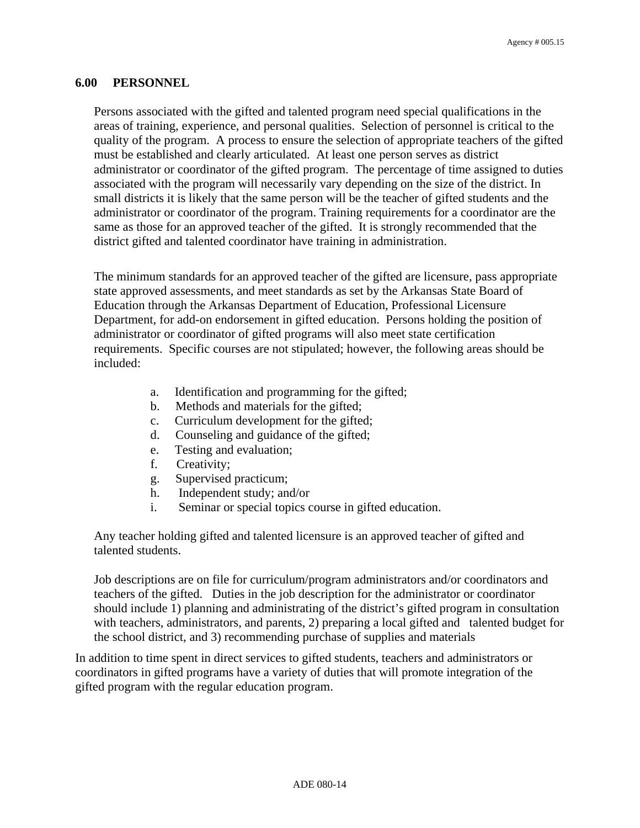#### **6.00 PERSONNEL**

Persons associated with the gifted and talented program need special qualifications in the areas of training, experience, and personal qualities. Selection of personnel is critical to the quality of the program. A process to ensure the selection of appropriate teachers of the gifted must be established and clearly articulated. At least one person serves as district administrator or coordinator of the gifted program. The percentage of time assigned to duties associated with the program will necessarily vary depending on the size of the district. In small districts it is likely that the same person will be the teacher of gifted students and the administrator or coordinator of the program. Training requirements for a coordinator are the same as those for an approved teacher of the gifted. It is strongly recommended that the district gifted and talented coordinator have training in administration.

The minimum standards for an approved teacher of the gifted are licensure, pass appropriate state approved assessments, and meet standards as set by the Arkansas State Board of Education through the Arkansas Department of Education, Professional Licensure Department, for add-on endorsement in gifted education. Persons holding the position of administrator or coordinator of gifted programs will also meet state certification requirements. Specific courses are not stipulated; however, the following areas should be included:

- a. Identification and programming for the gifted;
- b. Methods and materials for the gifted;
- c. Curriculum development for the gifted;
- d. Counseling and guidance of the gifted;
- e. Testing and evaluation;
- f. Creativity;
- g. Supervised practicum;
- h. Independent study; and/or
- i. Seminar or special topics course in gifted education.

Any teacher holding gifted and talented licensure is an approved teacher of gifted and talented students.

Job descriptions are on file for curriculum/program administrators and/or coordinators and teachers of the gifted. Duties in the job description for the administrator or coordinator should include 1) planning and administrating of the district's gifted program in consultation with teachers, administrators, and parents, 2) preparing a local gifted and talented budget for the school district, and 3) recommending purchase of supplies and materials

In addition to time spent in direct services to gifted students, teachers and administrators or coordinators in gifted programs have a variety of duties that will promote integration of the gifted program with the regular education program.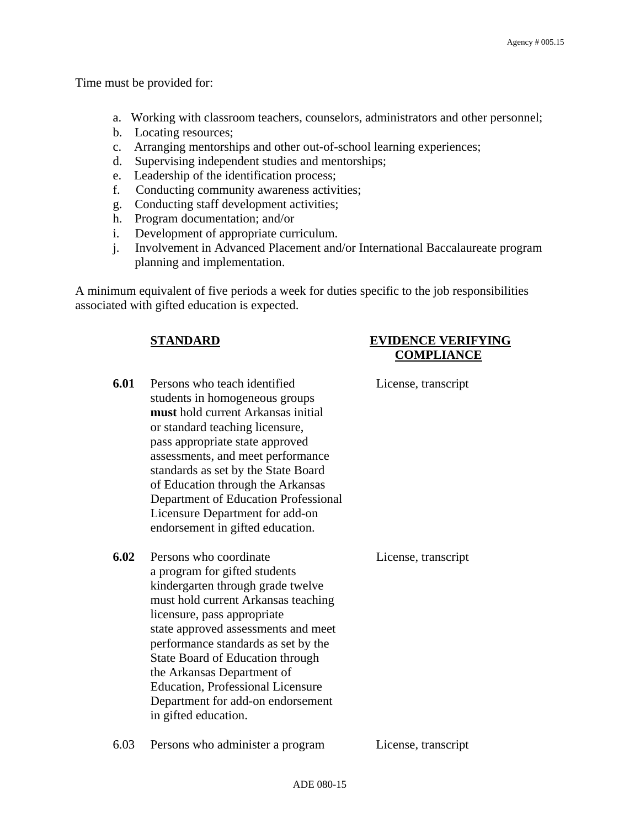Time must be provided for:

- a. Working with classroom teachers, counselors, administrators and other personnel;
- b. Locating resources;
- c. Arranging mentorships and other out-of-school learning experiences;
- d. Supervising independent studies and mentorships;
- e. Leadership of the identification process;
- f. Conducting community awareness activities;
- g. Conducting staff development activities;
- h. Program documentation; and/or
- i. Development of appropriate curriculum.
- j. Involvement in Advanced Placement and/or International Baccalaureate program planning and implementation.

A minimum equivalent of five periods a week for duties specific to the job responsibilities associated with gifted education is expected.

#### **STANDARD EVIDENCE VERIFYING COMPLIANCE**

**6.01** Persons who teach identified License, transcript students in homogeneous groups **must** hold current Arkansas initial or standard teaching licensure, pass appropriate state approved assessments, and meet performance standards as set by the State Board of Education through the Arkansas Department of Education Professional Licensure Department for add-on endorsement in gifted education. **6.02** Persons who coordinate License, transcript a program for gifted students kindergarten through grade twelve must hold current Arkansas teaching licensure, pass appropriate state approved assessments and meet performance standards as set by the State Board of Education through

ADE 080-15

6.03 Persons who administer a program License, transcript

the Arkansas Department of Education, Professional Licensure Department for add-on endorsement

in gifted education.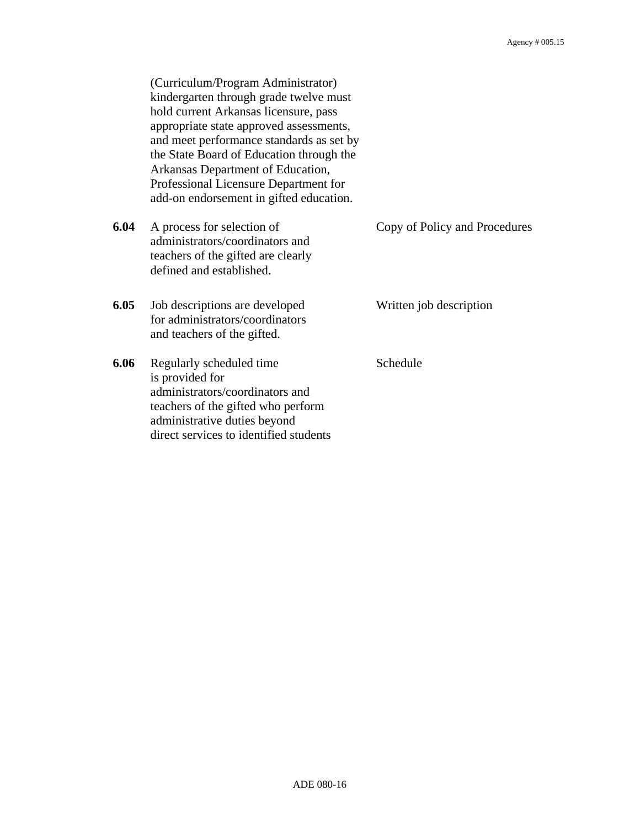(Curriculum/Program Administrator) kindergarten through grade twelve must hold current Arkansas licensure, pass appropriate state approved assessments, and meet performance standards as set by the State Board of Education through the Arkansas Department of Education, Professional Licensure Department for add-on endorsement in gifted education.

- **6.04** A process for selection of Copy of Policy and Procedures administrators/coordinators and teachers of the gifted are clearly defined and established.
- **6.05** Job descriptions are developed Written job description for administrators/coordinators and teachers of the gifted.
- **6.06** Regularly scheduled time Schedule is provided for administrators/coordinators and teachers of the gifted who perform administrative duties beyond direct services to identified students
- 
- 
-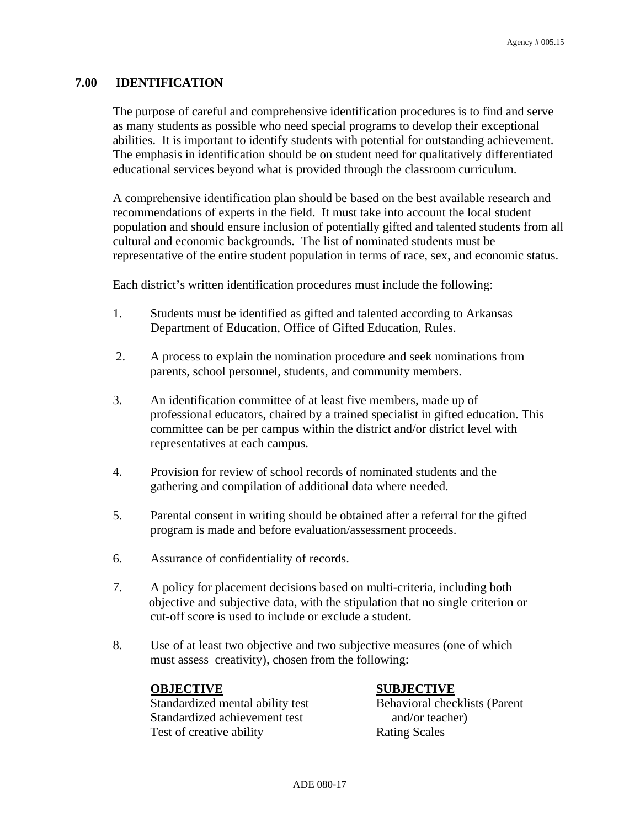#### **7.00 IDENTIFICATION**

The purpose of careful and comprehensive identification procedures is to find and serve as many students as possible who need special programs to develop their exceptional abilities. It is important to identify students with potential for outstanding achievement. The emphasis in identification should be on student need for qualitatively differentiated educational services beyond what is provided through the classroom curriculum.

A comprehensive identification plan should be based on the best available research and recommendations of experts in the field. It must take into account the local student population and should ensure inclusion of potentially gifted and talented students from all cultural and economic backgrounds. The list of nominated students must be representative of the entire student population in terms of race, sex, and economic status.

Each district's written identification procedures must include the following:

- 1. Students must be identified as gifted and talented according to Arkansas Department of Education, Office of Gifted Education, Rules.
- 2. A process to explain the nomination procedure and seek nominations from parents, school personnel, students, and community members.
- 3. An identification committee of at least five members, made up of professional educators, chaired by a trained specialist in gifted education. This committee can be per campus within the district and/or district level with representatives at each campus.
- 4. Provision for review of school records of nominated students and the gathering and compilation of additional data where needed.
- 5. Parental consent in writing should be obtained after a referral for the gifted program is made and before evaluation/assessment proceeds.
- 6. Assurance of confidentiality of records.
- 7. A policy for placement decisions based on multi-criteria, including both objective and subjective data, with the stipulation that no single criterion or cut-off score is used to include or exclude a student.
- 8. Use of at least two objective and two subjective measures (one of which must assess creativity), chosen from the following:

Standardized mental ability test Behavioral checklists (Parent Standardized achievement test and/or teacher) Test of creative ability Rating Scales

#### **OBJECTIVE** SUBJECTIVE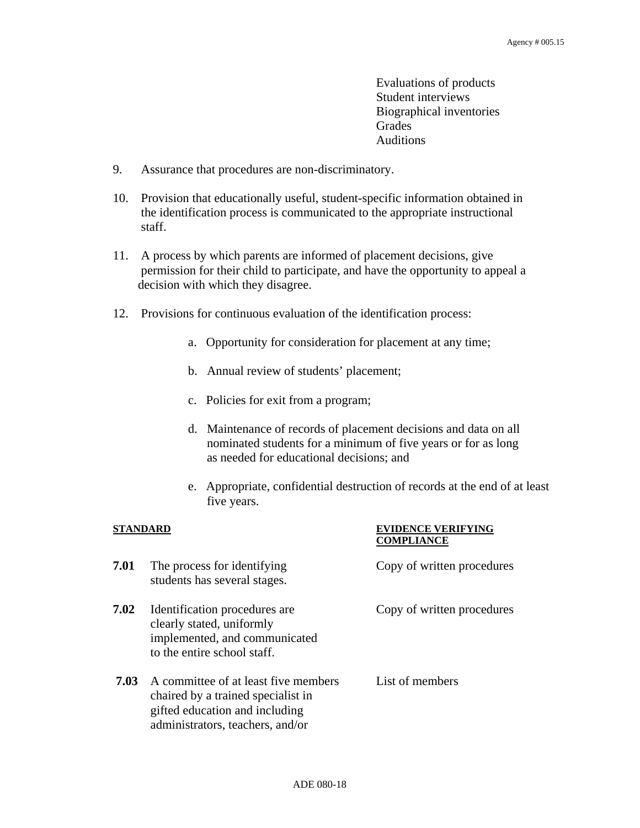Evaluations of products Student interviews Biographical inventories Grades Auditions

- 9. Assurance that procedures are non-discriminatory.
- 10. Provision that educationally useful, student-specific information obtained in the identification process is communicated to the appropriate instructional staff.
- 11. A process by which parents are informed of placement decisions, give permission for their child to participate, and have the opportunity to appeal a decision with which they disagree.
- 12. Provisions for continuous evaluation of the identification process:
	- a. Opportunity for consideration for placement at any time;
	- b. Annual review of students' placement;
	- c. Policies for exit from a program;
	- d. Maintenance of records of placement decisions and data on all nominated students for a minimum of five years or for as long as needed for educational decisions; and
	- e. Appropriate, confidential destruction of records at the end of at least five years.

#### **STANDARD EVIDENCE VERIFYING COMPLIANCE**

**7.01** The process for identifying Copy of written procedures students has several stages. **7.02** Identification procedures are Copy of written procedures clearly stated, uniformly implemented, and communicated to the entire school staff.  **7.03** A committee of at least five members List of members chaired by a trained specialist in gifted education and including administrators, teachers, and/or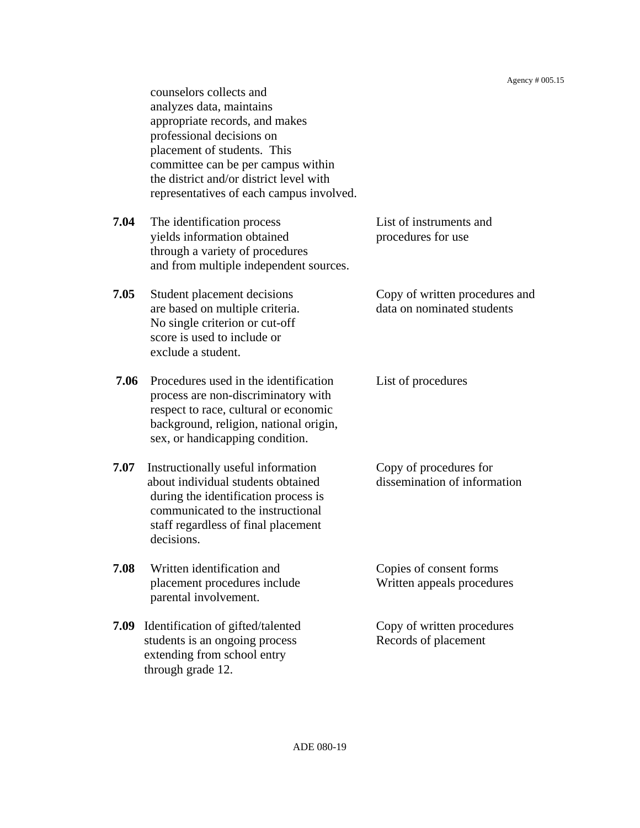counselors collects and analyzes data, maintains appropriate records, and makes professional decisions on placement of students. This committee can be per campus within the district and/or district level with representatives of each campus involved. **7.04** The identification process List of instruments and yields information obtained procedures for use through a variety of procedures and from multiple independent sources. **7.05** Student placement decisions Copy of written procedures and are based on multiple criteria. data on nominated students No single criterion or cut-off score is used to include or exclude a student. **7.06** Procedures used in the identification List of procedures process are non-discriminatory with respect to race, cultural or economic background, religion, national origin, sex, or handicapping condition. **7.07** Instructionally useful information Copy of procedures for about individual students obtained dissemination of information during the identification process is communicated to the instructional staff regardless of final placement decisions. **7.08** Written identification and Copies of consent forms placement procedures include Written appeals procedures parental involvement. **7.09** Identification of gifted/talented Copy of written procedures students is an ongoing process Records of placement extending from school entry through grade 12.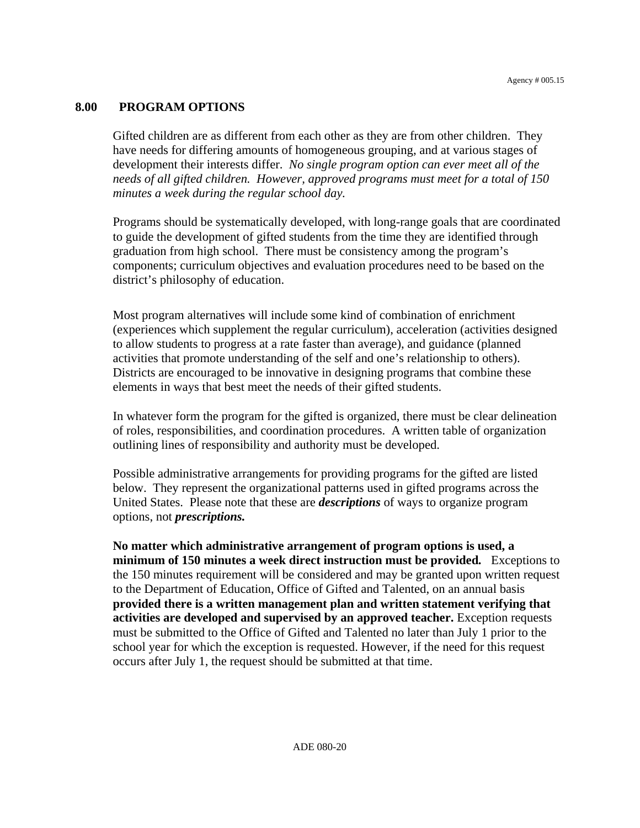#### **8.00 PROGRAM OPTIONS**

Gifted children are as different from each other as they are from other children. They have needs for differing amounts of homogeneous grouping, and at various stages of development their interests differ. *No single program option can ever meet all of the needs of all gifted children. However, approved programs must meet for a total of 150 minutes a week during the regular school day.* 

Programs should be systematically developed, with long-range goals that are coordinated to guide the development of gifted students from the time they are identified through graduation from high school. There must be consistency among the program's components; curriculum objectives and evaluation procedures need to be based on the district's philosophy of education.

Most program alternatives will include some kind of combination of enrichment (experiences which supplement the regular curriculum), acceleration (activities designed to allow students to progress at a rate faster than average), and guidance (planned activities that promote understanding of the self and one's relationship to others). Districts are encouraged to be innovative in designing programs that combine these elements in ways that best meet the needs of their gifted students.

In whatever form the program for the gifted is organized, there must be clear delineation of roles, responsibilities, and coordination procedures. A written table of organization outlining lines of responsibility and authority must be developed.

Possible administrative arrangements for providing programs for the gifted are listed below. They represent the organizational patterns used in gifted programs across the United States. Please note that these are *descriptions* of ways to organize program options, not *prescriptions.*

**No matter which administrative arrangement of program options is used, a minimum of 150 minutes a week direct instruction must be provided***.* Exceptions to the 150 minutes requirement will be considered and may be granted upon written request to the Department of Education, Office of Gifted and Talented, on an annual basis **provided there is a written management plan and written statement verifying that activities are developed and supervised by an approved teacher.** Exception requests must be submitted to the Office of Gifted and Talented no later than July 1 prior to the school year for which the exception is requested. However, if the need for this request occurs after July 1, the request should be submitted at that time.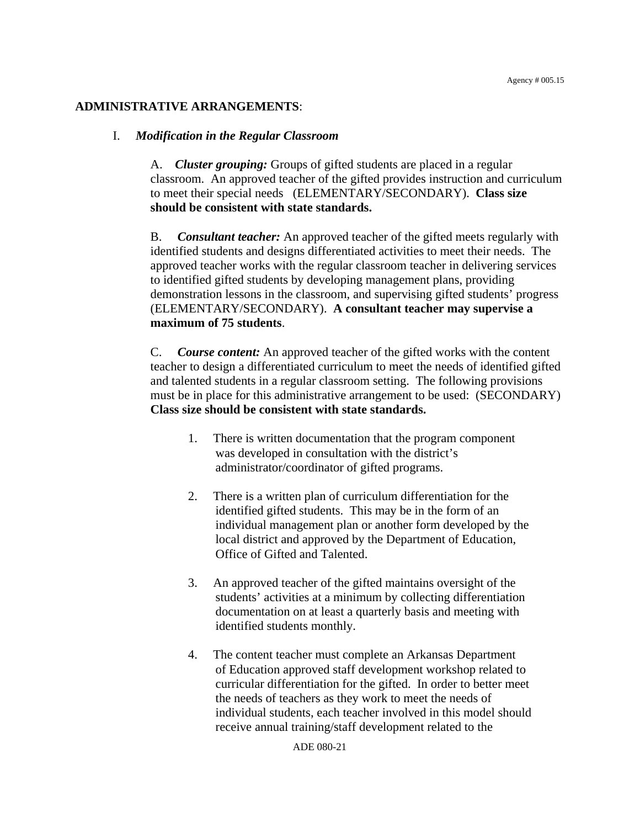#### **ADMINISTRATIVE ARRANGEMENTS**:

#### I. *Modification in the Regular Classroom*

A. *Cluster grouping:* Groups of gifted students are placed in a regular classroom. An approved teacher of the gifted provides instruction and curriculum to meet their special needs (ELEMENTARY/SECONDARY). **Class size should be consistent with state standards.**

B. *Consultant teacher:* An approved teacher of the gifted meets regularly with identified students and designs differentiated activities to meet their needs. The approved teacher works with the regular classroom teacher in delivering services to identified gifted students by developing management plans, providing demonstration lessons in the classroom, and supervising gifted students' progress (ELEMENTARY/SECONDARY). **A consultant teacher may supervise a maximum of 75 students**.

C. *Course content:* An approved teacher of the gifted works with the content teacher to design a differentiated curriculum to meet the needs of identified gifted and talented students in a regular classroom setting. The following provisions must be in place for this administrative arrangement to be used: (SECONDARY) **Class size should be consistent with state standards.** 

- 1. There is written documentation that the program component was developed in consultation with the district's administrator/coordinator of gifted programs.
- 2. There is a written plan of curriculum differentiation for the identified gifted students. This may be in the form of an individual management plan or another form developed by the local district and approved by the Department of Education, Office of Gifted and Talented.
- 3. An approved teacher of the gifted maintains oversight of the students' activities at a minimum by collecting differentiation documentation on at least a quarterly basis and meeting with identified students monthly.
- 4. The content teacher must complete an Arkansas Department of Education approved staff development workshop related to curricular differentiation for the gifted. In order to better meet the needs of teachers as they work to meet the needs of individual students, each teacher involved in this model should receive annual training/staff development related to the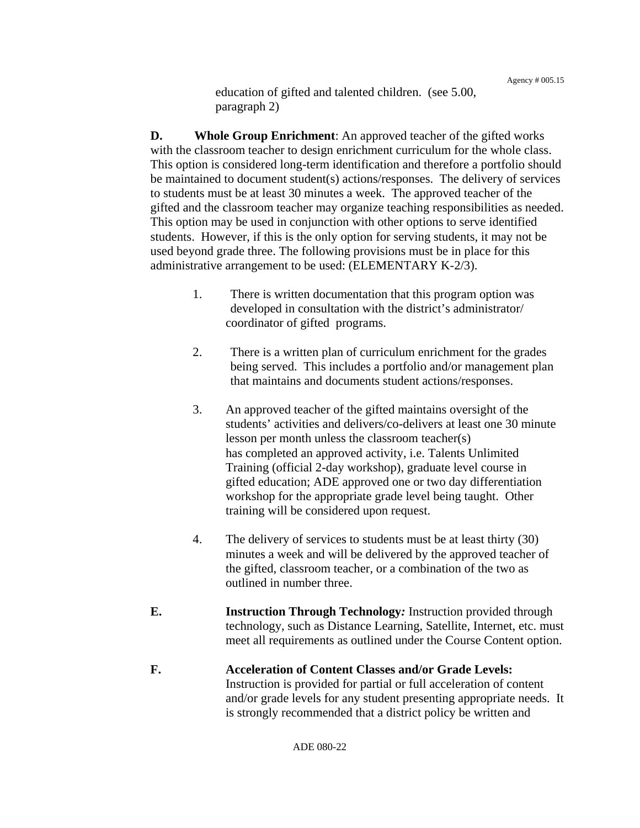education of gifted and talented children. (see 5.00, paragraph 2)

**D.** Whole Group Enrichment: An approved teacher of the gifted works with the classroom teacher to design enrichment curriculum for the whole class. This option is considered long-term identification and therefore a portfolio should be maintained to document student(s) actions/responses. The delivery of services to students must be at least 30 minutes a week. The approved teacher of the gifted and the classroom teacher may organize teaching responsibilities as needed. This option may be used in conjunction with other options to serve identified students. However, if this is the only option for serving students, it may not be used beyond grade three. The following provisions must be in place for this administrative arrangement to be used: (ELEMENTARY K-2/3).

- 1. There is written documentation that this program option was developed in consultation with the district's administrator/ coordinator of gifted programs.
- 2. There is a written plan of curriculum enrichment for the grades being served. This includes a portfolio and/or management plan that maintains and documents student actions/responses.
- 3. An approved teacher of the gifted maintains oversight of the students' activities and delivers/co-delivers at least one 30 minute lesson per month unless the classroom teacher(s) has completed an approved activity, i.e. Talents Unlimited Training (official 2-day workshop), graduate level course in gifted education; ADE approved one or two day differentiation workshop for the appropriate grade level being taught. Other training will be considered upon request.
- 4. The delivery of services to students must be at least thirty (30) minutes a week and will be delivered by the approved teacher of the gifted, classroom teacher, or a combination of the two as outlined in number three.
- **E. Instruction Through Technology***:* Instruction provided through technology, such as Distance Learning, Satellite, Internet, etc. must meet all requirements as outlined under the Course Content option.
- **F. Acceleration of Content Classes and/or Grade Levels:** Instruction is provided for partial or full acceleration of content and/or grade levels for any student presenting appropriate needs. It is strongly recommended that a district policy be written and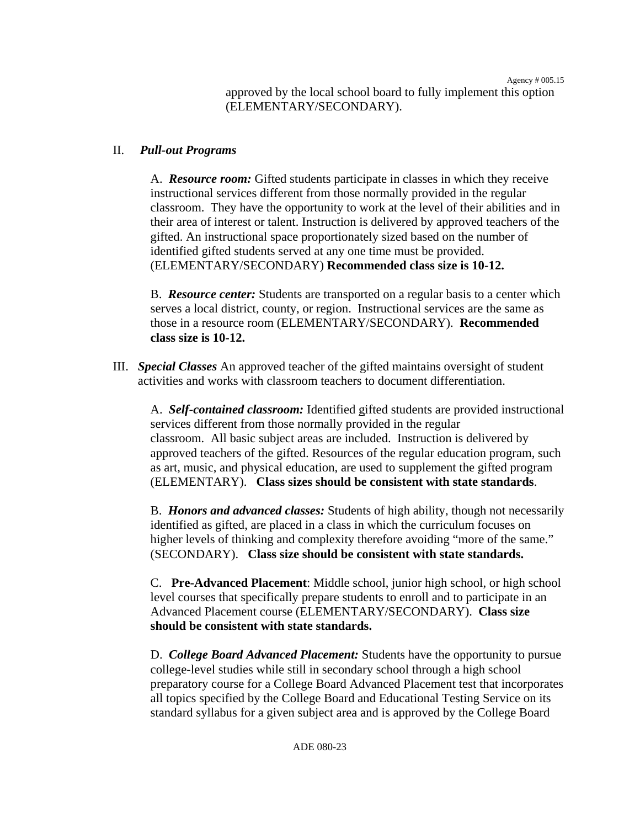approved by the local school board to fully implement this option (ELEMENTARY/SECONDARY).

#### II. *Pull-out Programs*

A. *Resource room:* Gifted students participate in classes in which they receive instructional services different from those normally provided in the regular classroom. They have the opportunity to work at the level of their abilities and in their area of interest or talent. Instruction is delivered by approved teachers of the gifted. An instructional space proportionately sized based on the number of identified gifted students served at any one time must be provided. (ELEMENTARY/SECONDARY) **Recommended class size is 10-12.**

B. *Resource center:* Students are transported on a regular basis to a center which serves a local district, county, or region. Instructional services are the same as those in a resource room (ELEMENTARY/SECONDARY). **Recommended class size is 10-12.**

III. *Special Classes* An approved teacher of the gifted maintains oversight of student activities and works with classroom teachers to document differentiation.

A. *Self-contained classroom:* Identified gifted students are provided instructional services different from those normally provided in the regular classroom. All basic subject areas are included. Instruction is delivered by approved teachers of the gifted. Resources of the regular education program, such as art, music, and physical education, are used to supplement the gifted program (ELEMENTARY). **Class sizes should be consistent with state standards**.

B. *Honors and advanced classes:* Students of high ability, though not necessarily identified as gifted, are placed in a class in which the curriculum focuses on higher levels of thinking and complexity therefore avoiding "more of the same." (SECONDARY). **Class size should be consistent with state standards.**

C. **Pre-Advanced Placement**: Middle school, junior high school, or high school level courses that specifically prepare students to enroll and to participate in an Advanced Placement course (ELEMENTARY/SECONDARY). **Class size should be consistent with state standards.** 

D. *College Board Advanced Placement:* Students have the opportunity to pursue college-level studies while still in secondary school through a high school preparatory course for a College Board Advanced Placement test that incorporates all topics specified by the College Board and Educational Testing Service on its standard syllabus for a given subject area and is approved by the College Board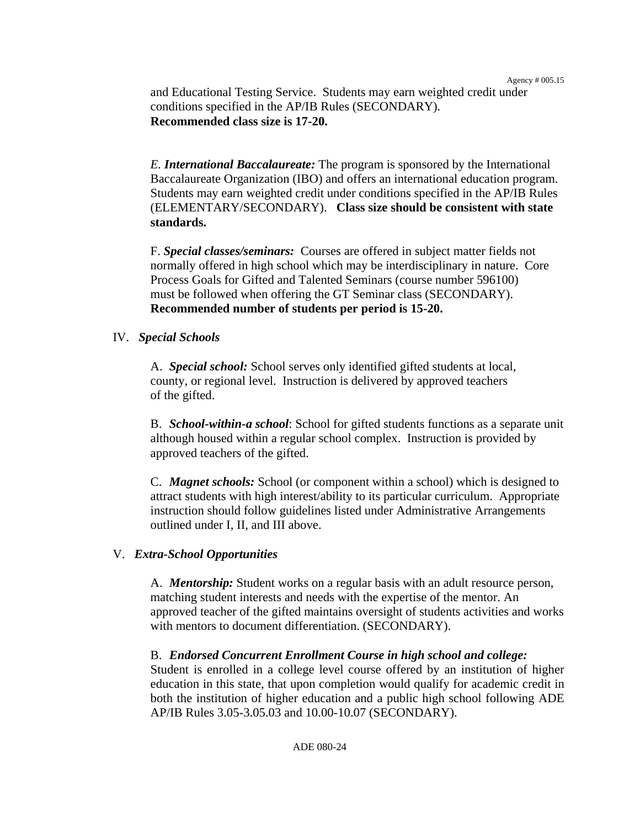and Educational Testing Service. Students may earn weighted credit under conditions specified in the AP/IB Rules (SECONDARY). **Recommended class size is 17-20.**

*E. International Baccalaureate:* The program is sponsored by the International Baccalaureate Organization (IBO) and offers an international education program. Students may earn weighted credit under conditions specified in the AP/IB Rules (ELEMENTARY/SECONDARY). **Class size should be consistent with state standards.** 

F. *Special classes/seminars:* Courses are offered in subject matter fields not normally offered in high school which may be interdisciplinary in nature. Core Process Goals for Gifted and Talented Seminars (course number 596100) must be followed when offering the GT Seminar class (SECONDARY). **Recommended number of students per period is 15-20.**

#### IV. *Special Schools*

A. *Special school:* School serves only identified gifted students at local, county, or regional level. Instruction is delivered by approved teachers of the gifted.

B. *School-within-a school*: School for gifted students functions as a separate unit although housed within a regular school complex. Instruction is provided by approved teachers of the gifted.

C. *Magnet schools:* School (or component within a school) which is designed to attract students with high interest/ability to its particular curriculum. Appropriate instruction should follow guidelines listed under Administrative Arrangements outlined under I, II, and III above.

#### V. *Extra-School Opportunities*

A. *Mentorship:* Student works on a regular basis with an adult resource person, matching student interests and needs with the expertise of the mentor. An approved teacher of the gifted maintains oversight of students activities and works with mentors to document differentiation. (SECONDARY).

B. *Endorsed Concurrent Enrollment Course in high school and college:* 

Student is enrolled in a college level course offered by an institution of higher education in this state, that upon completion would qualify for academic credit in both the institution of higher education and a public high school following ADE AP/IB Rules 3.05-3.05.03 and 10.00-10.07 (SECONDARY).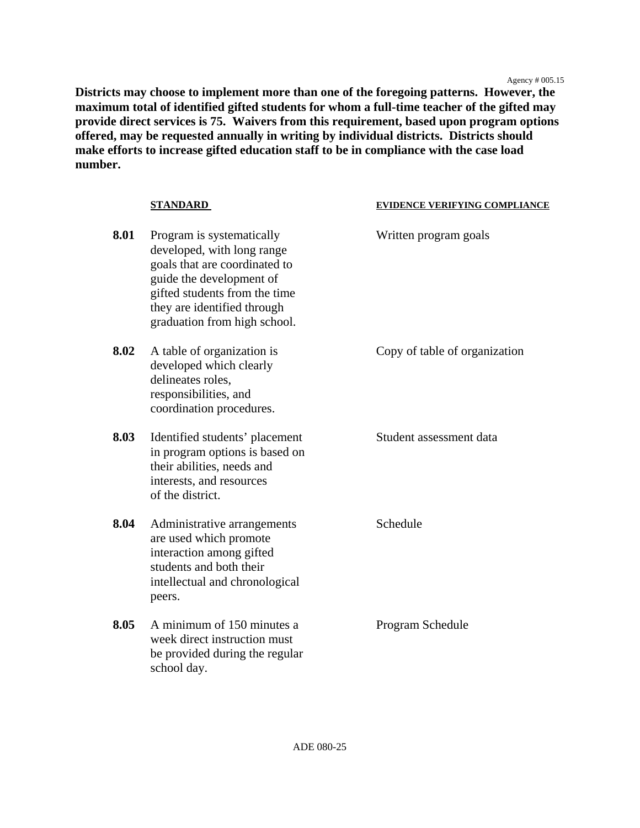Agency # 005.15

**Districts may choose to implement more than one of the foregoing patterns. However, the maximum total of identified gifted students for whom a full-time teacher of the gifted may provide direct services is 75. Waivers from this requirement, based upon program options offered, may be requested annually in writing by individual districts. Districts should make efforts to increase gifted education staff to be in compliance with the case load number.** 

|      | <b>STANDARD</b>                                                                                                                                                                                                      | <b>EVIDENCE VERIFYING COMPLIANCE</b> |
|------|----------------------------------------------------------------------------------------------------------------------------------------------------------------------------------------------------------------------|--------------------------------------|
| 8.01 | Program is systematically<br>developed, with long range<br>goals that are coordinated to<br>guide the development of<br>gifted students from the time<br>they are identified through<br>graduation from high school. | Written program goals                |
| 8.02 | A table of organization is<br>developed which clearly<br>delineates roles,<br>responsibilities, and<br>coordination procedures.                                                                                      | Copy of table of organization        |
| 8.03 | Identified students' placement<br>in program options is based on<br>their abilities, needs and<br>interests, and resources<br>of the district.                                                                       | Student assessment data              |
| 8.04 | Administrative arrangements<br>are used which promote<br>interaction among gifted<br>students and both their<br>intellectual and chronological<br>peers.                                                             | Schedule                             |
| 8.05 | A minimum of 150 minutes a<br>week direct instruction must<br>be provided during the regular<br>school day.                                                                                                          | Program Schedule                     |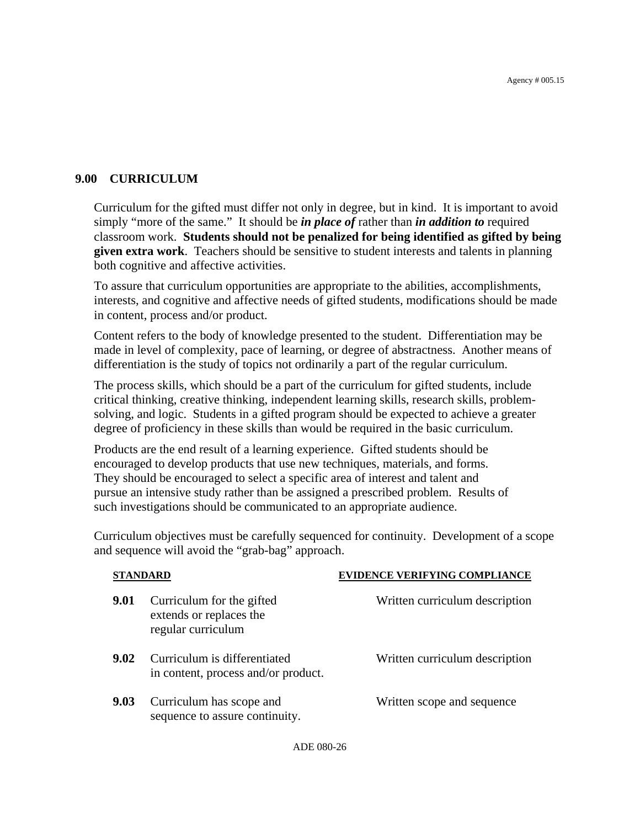### **9.00 CURRICULUM**

Curriculum for the gifted must differ not only in degree, but in kind. It is important to avoid simply "more of the same." It should be *in place of* rather than *in addition to* required classroom work. **Students should not be penalized for being identified as gifted by being given extra work**. Teachers should be sensitive to student interests and talents in planning both cognitive and affective activities.

To assure that curriculum opportunities are appropriate to the abilities, accomplishments, interests, and cognitive and affective needs of gifted students, modifications should be made in content, process and/or product.

Content refers to the body of knowledge presented to the student. Differentiation may be made in level of complexity, pace of learning, or degree of abstractness. Another means of differentiation is the study of topics not ordinarily a part of the regular curriculum.

The process skills, which should be a part of the curriculum for gifted students, include critical thinking, creative thinking, independent learning skills, research skills, problemsolving, and logic. Students in a gifted program should be expected to achieve a greater degree of proficiency in these skills than would be required in the basic curriculum.

Products are the end result of a learning experience. Gifted students should be encouraged to develop products that use new techniques, materials, and forms. They should be encouraged to select a specific area of interest and talent and pursue an intensive study rather than be assigned a prescribed problem. Results of such investigations should be communicated to an appropriate audience.

Curriculum objectives must be carefully sequenced for continuity. Development of a scope and sequence will avoid the "grab-bag" approach.

| STANDARD |                                                                            | <b>EVIDENCE VERIFYING COMPLIANCE</b> |  |
|----------|----------------------------------------------------------------------------|--------------------------------------|--|
| 9.01     | Curriculum for the gifted<br>extends or replaces the<br>regular curriculum | Written curriculum description       |  |
| 9.02     | Curriculum is differentiated<br>in content, process and/or product.        | Written curriculum description       |  |
| 9.03     | Curriculum has scope and<br>sequence to assure continuity.                 | Written scope and sequence           |  |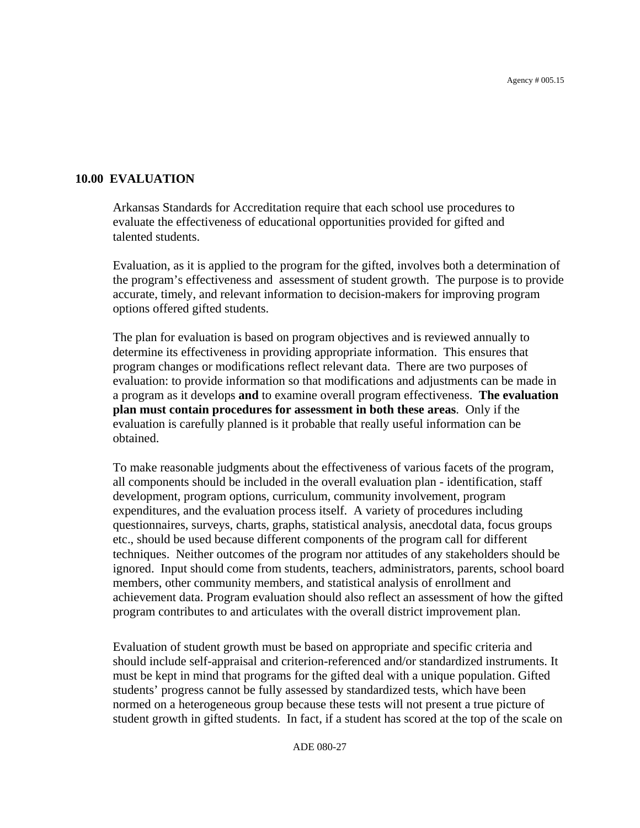#### **10.00 EVALUATION**

 Arkansas Standards for Accreditation require that each school use procedures to evaluate the effectiveness of educational opportunities provided for gifted and talented students.

Evaluation, as it is applied to the program for the gifted, involves both a determination of the program's effectiveness and assessment of student growth. The purpose is to provide accurate, timely, and relevant information to decision-makers for improving program options offered gifted students.

The plan for evaluation is based on program objectives and is reviewed annually to determine its effectiveness in providing appropriate information. This ensures that program changes or modifications reflect relevant data. There are two purposes of evaluation: to provide information so that modifications and adjustments can be made in a program as it develops **and** to examine overall program effectiveness. **The evaluation plan must contain procedures for assessment in both these areas**. Only if the evaluation is carefully planned is it probable that really useful information can be obtained.

To make reasonable judgments about the effectiveness of various facets of the program, all components should be included in the overall evaluation plan - identification, staff development, program options, curriculum, community involvement, program expenditures, and the evaluation process itself. A variety of procedures including questionnaires, surveys, charts, graphs, statistical analysis, anecdotal data, focus groups etc., should be used because different components of the program call for different techniques. Neither outcomes of the program nor attitudes of any stakeholders should be ignored. Input should come from students, teachers, administrators, parents, school board members, other community members, and statistical analysis of enrollment and achievement data. Program evaluation should also reflect an assessment of how the gifted program contributes to and articulates with the overall district improvement plan.

Evaluation of student growth must be based on appropriate and specific criteria and should include self-appraisal and criterion-referenced and/or standardized instruments. It must be kept in mind that programs for the gifted deal with a unique population. Gifted students' progress cannot be fully assessed by standardized tests, which have been normed on a heterogeneous group because these tests will not present a true picture of student growth in gifted students. In fact, if a student has scored at the top of the scale on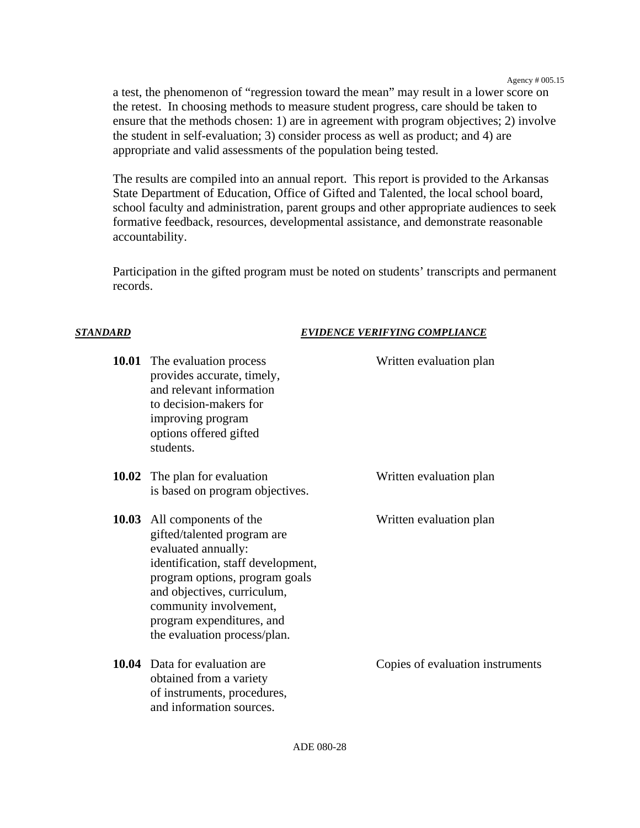Agency # 005.15

a test, the phenomenon of "regression toward the mean" may result in a lower score on the retest. In choosing methods to measure student progress, care should be taken to ensure that the methods chosen: 1) are in agreement with program objectives; 2) involve the student in self-evaluation; 3) consider process as well as product; and 4) are appropriate and valid assessments of the population being tested.

The results are compiled into an annual report. This report is provided to the Arkansas State Department of Education, Office of Gifted and Talented, the local school board, school faculty and administration, parent groups and other appropriate audiences to seek formative feedback, resources, developmental assistance, and demonstrate reasonable accountability.

Participation in the gifted program must be noted on students' transcripts and permanent records.

#### *STANDARD EVIDENCE VERIFYING COMPLIANCE*

| <b>10.01</b> The evaluation process<br>provides accurate, timely,<br>and relevant information<br>to decision-makers for<br>improving program<br>options offered gifted<br>students.                                                                                             | Written evaluation plan          |
|---------------------------------------------------------------------------------------------------------------------------------------------------------------------------------------------------------------------------------------------------------------------------------|----------------------------------|
| <b>10.02</b> The plan for evaluation<br>is based on program objectives.                                                                                                                                                                                                         | Written evaluation plan          |
| 10.03 All components of the<br>gifted/talented program are<br>evaluated annually:<br>identification, staff development,<br>program options, program goals<br>and objectives, curriculum,<br>community involvement,<br>program expenditures, and<br>the evaluation process/plan. | Written evaluation plan          |
| 10.04 Data for evaluation are<br>obtained from a variety<br>of instruments, procedures,<br>and information sources.                                                                                                                                                             | Copies of evaluation instruments |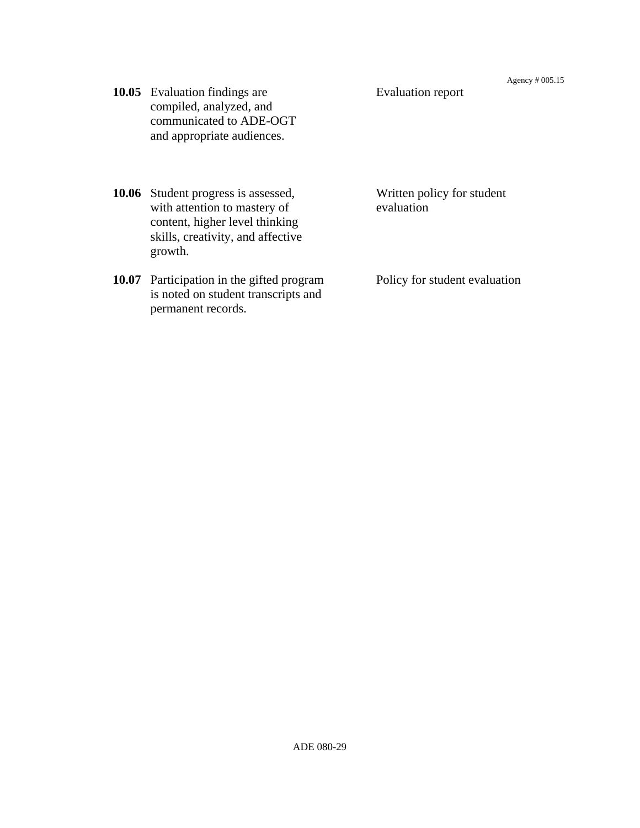**10.05** Evaluation findings are Evaluation report compiled, analyzed, and communicated to ADE-OGT and appropriate audiences.

**10.06** Student progress is assessed, Written policy for student with attention to mastery of evaluation content, higher level thinking skills, creativity, and affective growth.

**10.07** Participation in the gifted program Policy for student evaluation is noted on student transcripts and permanent records.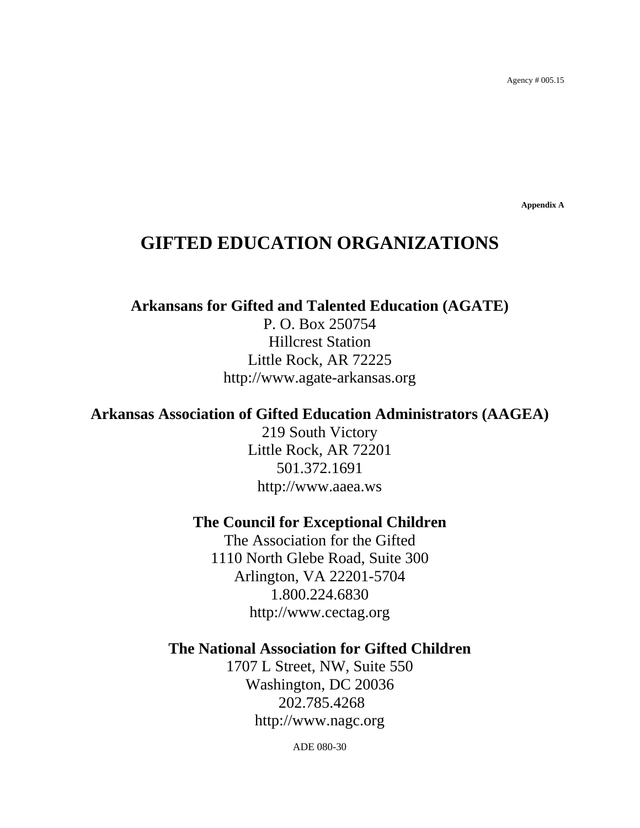**Appendix A** 

# **GIFTED EDUCATION ORGANIZATIONS**

**Arkansans for Gifted and Talented Education (AGATE)**

P. O. Box 250754 Hillcrest Station Little Rock, AR 72225 [http://www.agate-arkansas.org](http://www.agate-arkansas.org/) 

### **Arkansas Association of Gifted Education Administrators (AAGEA)**

219 South Victory Little Rock, AR 72201 501.372.1691 [http://www.aaea.ws](http://www.aaea.ws/) 

#### **The Council for Exceptional Children**

The Association for the Gifted 1110 North Glebe Road, Suite 300 Arlington, VA 22201-5704 1.800.224.6830 http://www.cectag.org

### **The National Association for Gifted Children**

1707 L Street, NW, Suite 550 Washington, DC 20036 202.785.4268 [http://www.nagc.org](http://www.nagc.org/) 

ADE 080-30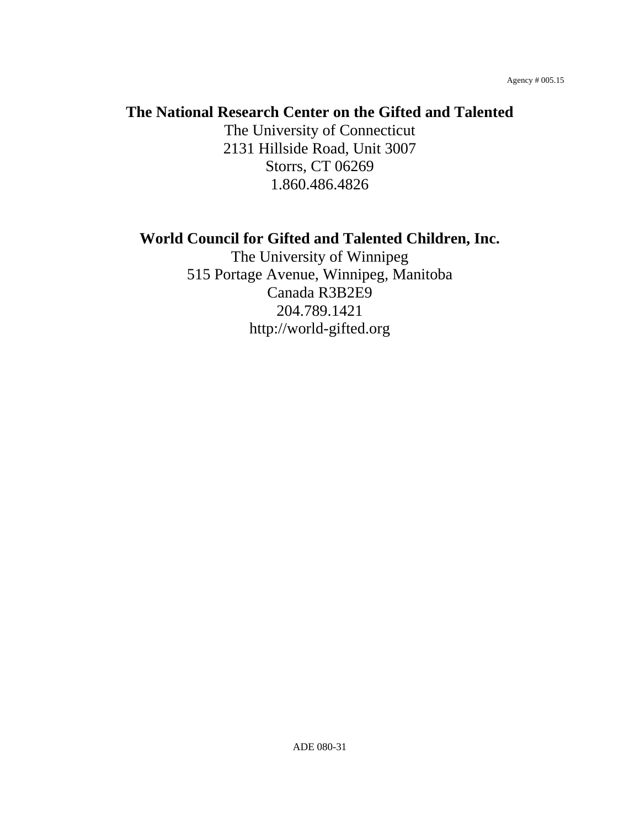# **The National Research Center on the Gifted and Talented**

The University of Connecticut 2131 Hillside Road, Unit 3007 Storrs, CT 06269 1.860.486.4826

# **World Council for Gifted and Talented Children, Inc.**

The University of Winnipeg 515 Portage Avenue, Winnipeg, Manitoba Canada R3B2E9 204.789.1421 [http://world-gifted.org](http://world-gifted.org/)